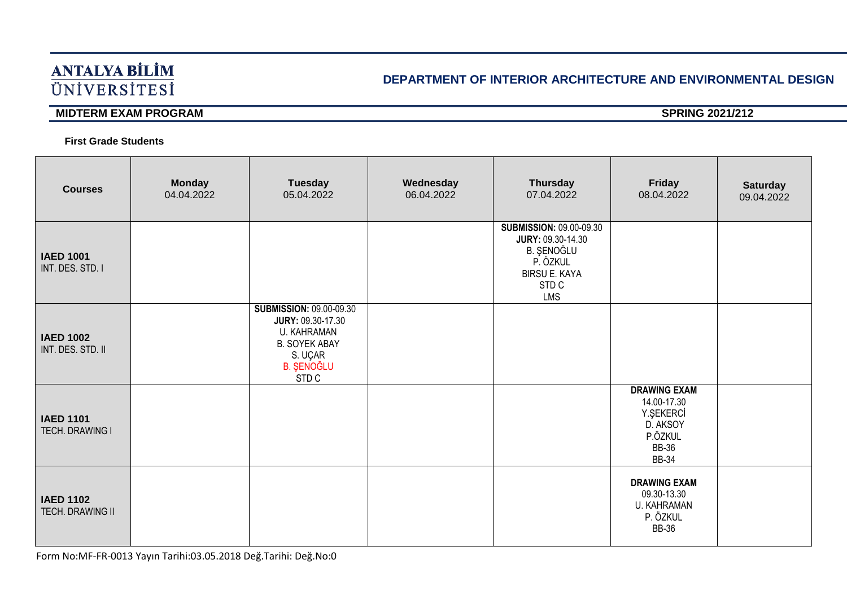#### **DEPARTMENT OF INTERIOR ARCHITECTURE AND ENVIRONMENTAL DESIGN**

#### **MIDTERM EXAM PROGRAM SPRING 2021/212**

#### **First Grade Students**

| <b>Courses</b>                        | <b>Monday</b><br>04.04.2022 | <b>Tuesday</b><br>05.04.2022                                                                                                        | Wednesday<br>06.04.2022 | <b>Thursday</b><br>07.04.2022                                                                                                                  | Friday<br>08.04.2022                                                                                   | <b>Saturday</b><br>09.04.2022 |
|---------------------------------------|-----------------------------|-------------------------------------------------------------------------------------------------------------------------------------|-------------------------|------------------------------------------------------------------------------------------------------------------------------------------------|--------------------------------------------------------------------------------------------------------|-------------------------------|
| <b>IAED 1001</b><br>INT. DES. STD. I  |                             |                                                                                                                                     |                         | <b>SUBMISSION: 09.00-09.30</b><br><b>JURY: 09.30-14.30</b><br><b>B. ŞENOĞLU</b><br>P. ÖZKUL<br><b>BIRSU E. KAYA</b><br>STD <sub>C</sub><br>LMS |                                                                                                        |                               |
| <b>IAED 1002</b><br>INT. DES. STD. II |                             | <b>SUBMISSION: 09.00-09.30</b><br>JURY: 09.30-17.30<br>U. KAHRAMAN<br><b>B. SOYEK ABAY</b><br>S. UÇAR<br><b>B. ŞENOĞLU</b><br>STD C |                         |                                                                                                                                                |                                                                                                        |                               |
| <b>IAED 1101</b><br>TECH. DRAWING I   |                             |                                                                                                                                     |                         |                                                                                                                                                | <b>DRAWING EXAM</b><br>14.00-17.30<br>Y.ŞEKERCİ<br>D. AKSOY<br>P.ÖZKUL<br><b>BB-36</b><br><b>BB-34</b> |                               |
| <b>IAED 1102</b><br>TECH. DRAWING II  |                             |                                                                                                                                     |                         |                                                                                                                                                | <b>DRAWING EXAM</b><br>09.30-13.30<br><b>U. KAHRAMAN</b><br>P. ÖZKUL<br><b>BB-36</b>                   |                               |

Form No:MF-FR-0013 Yayın Tarihi:03.05.2018 Değ.Tarihi: Değ.No:0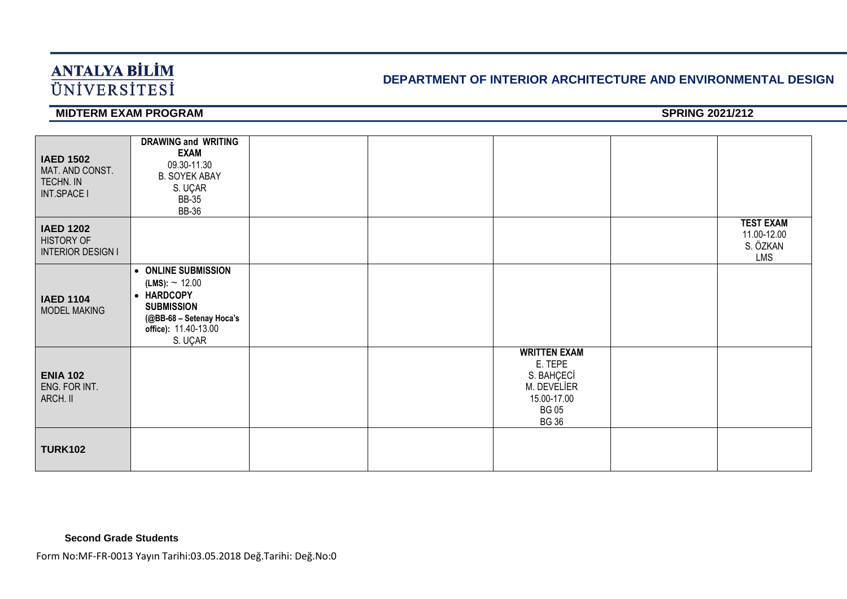### **DEPARTMENT OF INTERIOR ARCHITECTURE AND ENVIRONMENTAL DESIGN**

#### **MIDTERM EXAM PROGRAM SPRING 2021/212**

| <b>IAED 1502</b><br>MAT. AND CONST.<br>TECHN. IN<br>INT.SPACE I | <b>DRAWING and WRITING</b><br><b>EXAM</b><br>09.30-11.30<br><b>B. SOYEK ABAY</b><br>S. UÇAR<br><b>BB-35</b><br><b>BB-36</b>             |  |                                                                                                           |                                                    |
|-----------------------------------------------------------------|-----------------------------------------------------------------------------------------------------------------------------------------|--|-----------------------------------------------------------------------------------------------------------|----------------------------------------------------|
| <b>IAED 1202</b><br>HISTORY OF<br><b>INTERIOR DESIGN I</b>      |                                                                                                                                         |  |                                                                                                           | <b>TEST EXAM</b><br>11.00-12.00<br>S. ÖZKAN<br>LMS |
| <b>IAED 1104</b><br><b>MODEL MAKING</b>                         | • ONLINE SUBMISSION<br>(LMS): ~ 12.00<br>• HARDCOPY<br><b>SUBMISSION</b><br>(@BB-68 - Setenay Hoca's<br>office): 11.40-13.00<br>S. UÇAR |  |                                                                                                           |                                                    |
| <b>ENIA 102</b><br>ENG. FOR INT.<br>ARCH. II                    |                                                                                                                                         |  | <b>WRITTEN EXAM</b><br>E. TEPE<br>S. BAHÇECİ<br>M. DEVELIER<br>15.00-17.00<br><b>BG05</b><br><b>BG 36</b> |                                                    |
| <b>TURK102</b>                                                  |                                                                                                                                         |  |                                                                                                           |                                                    |

**Second Grade Students**

Form No:MF-FR-0013 Yayın Tarihi:03.05.2018 Değ.Tarihi: Değ.No:0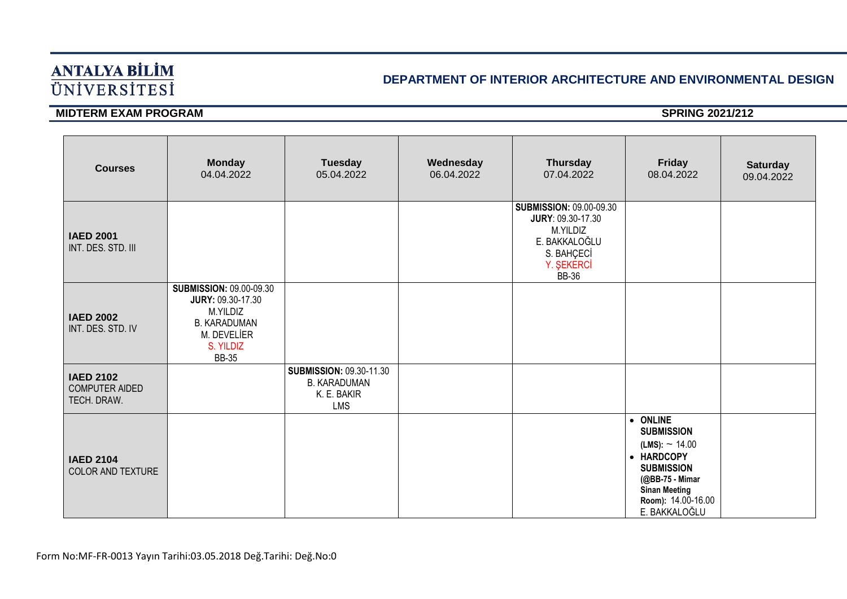## **DEPARTMENT OF INTERIOR ARCHITECTURE AND ENVIRONMENTAL DESIGN**

| <b>Courses</b>                                           | <b>Monday</b><br>04.04.2022                                                                                                        | <b>Tuesday</b><br>05.04.2022                                                       | Wednesday<br>06.04.2022 | <b>Thursday</b><br>07.04.2022                                                                                                       | <b>Friday</b><br>08.04.2022                                                                                                                                               | <b>Saturday</b><br>09.04.2022 |
|----------------------------------------------------------|------------------------------------------------------------------------------------------------------------------------------------|------------------------------------------------------------------------------------|-------------------------|-------------------------------------------------------------------------------------------------------------------------------------|---------------------------------------------------------------------------------------------------------------------------------------------------------------------------|-------------------------------|
| <b>IAED 2001</b><br>INT. DES. STD. III                   |                                                                                                                                    |                                                                                    |                         | <b>SUBMISSION: 09.00-09.30</b><br><b>JURY: 09.30-17.30</b><br>M.YILDIZ<br>E. BAKKALOĞLU<br>S. BAHÇECİ<br>Y. ŞEKERCİ<br><b>BB-36</b> |                                                                                                                                                                           |                               |
| <b>IAED 2002</b><br>INT. DES. STD. IV                    | <b>SUBMISSION: 09.00-09.30</b><br>JURY: 09.30-17.30<br>M.YILDIZ<br><b>B. KARADUMAN</b><br>M. DEVELIER<br>S. YILDIZ<br><b>BB-35</b> |                                                                                    |                         |                                                                                                                                     |                                                                                                                                                                           |                               |
| <b>IAED 2102</b><br><b>COMPUTER AIDED</b><br>TECH. DRAW. |                                                                                                                                    | <b>SUBMISSION: 09.30-11.30</b><br><b>B. KARADUMAN</b><br>K. E. BAKIR<br><b>LMS</b> |                         |                                                                                                                                     |                                                                                                                                                                           |                               |
| <b>IAED 2104</b><br>COLOR AND TEXTURE                    |                                                                                                                                    |                                                                                    |                         |                                                                                                                                     | • ONLINE<br><b>SUBMISSION</b><br>(LMS): $\sim$ 14.00<br>• HARDCOPY<br><b>SUBMISSION</b><br>(@BB-75 - Mimar<br><b>Sinan Meeting</b><br>Room): 14.00-16.00<br>E. BAKKALOĞLU |                               |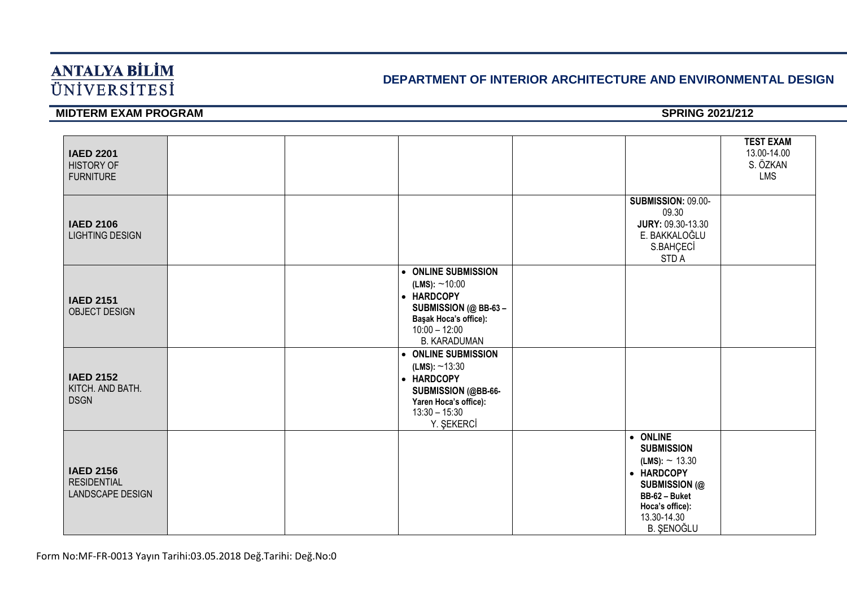## **DEPARTMENT OF INTERIOR ARCHITECTURE AND ENVIRONMENTAL DESIGN**

| <b>IAED 2201</b><br><b>HISTORY OF</b><br><b>FURNITURE</b>  |  |                                                                                                                                                      |                                                                                                                                                          | <b>TEST EXAM</b><br>13.00-14.00<br>S. ÖZKAN<br><b>LMS</b> |
|------------------------------------------------------------|--|------------------------------------------------------------------------------------------------------------------------------------------------------|----------------------------------------------------------------------------------------------------------------------------------------------------------|-----------------------------------------------------------|
| <b>IAED 2106</b><br><b>LIGHTING DESIGN</b>                 |  |                                                                                                                                                      | <b>SUBMISSION: 09.00-</b><br>09.30<br>JURY: 09.30-13.30<br>E. BAKKALOĞLU<br>S.BAHÇECİ<br>STD A                                                           |                                                           |
| <b>IAED 2151</b><br>OBJECT DESIGN                          |  | • ONLINE SUBMISSION<br>(LMS): $\sim$ 10:00<br>• HARDCOPY<br>SUBMISSION (@ BB-63 -<br>Başak Hoca's office):<br>$10:00 - 12:00$<br><b>B. KARADUMAN</b> |                                                                                                                                                          |                                                           |
| <b>IAED 2152</b><br>KITCH. AND BATH.<br><b>DSGN</b>        |  | • ONLINE SUBMISSION<br>$(LMS): -13:30$<br>• HARDCOPY<br>SUBMISSION (@BB-66-<br>Yaren Hoca's office):<br>$13:30 - 15:30$<br>Y. ŞEKERCİ                |                                                                                                                                                          |                                                           |
| <b>IAED 2156</b><br><b>RESIDENTIAL</b><br>LANDSCAPE DESIGN |  |                                                                                                                                                      | • ONLINE<br><b>SUBMISSION</b><br>$(LMS): - 13.30$<br>• HARDCOPY<br>SUBMISSION (@<br>BB-62 - Buket<br>Hoca's office):<br>13.30-14.30<br><b>B.</b> ŞENOĞLU |                                                           |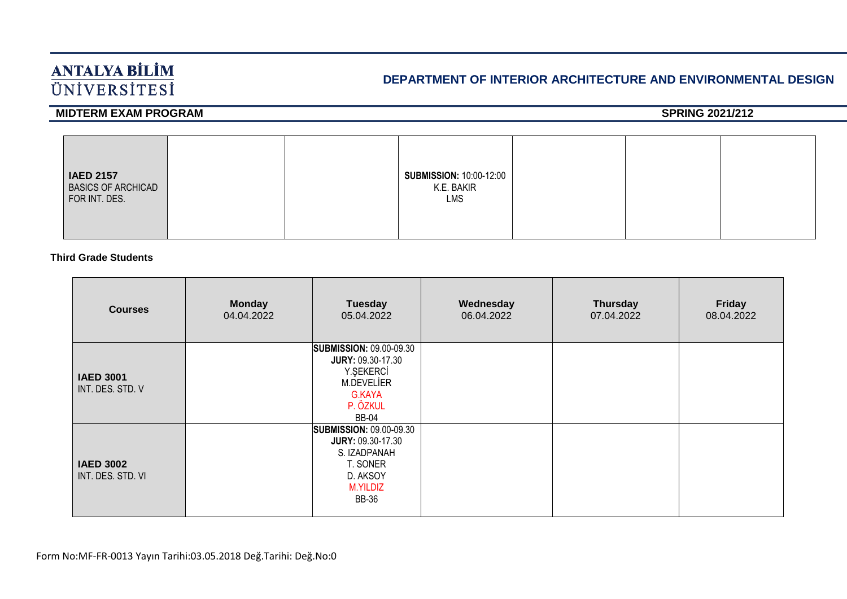## **DEPARTMENT OF INTERIOR ARCHITECTURE AND ENVIRONMENTAL DESIGN**

#### **MIDTERM EXAM PROGRAM SPRING 2021/212**

| <b>IAED 2157</b><br><b>BASICS OF ARCHICAD</b><br>FOR INT. DES. |  |  | <b>SUBMISSION: 10:00-12:00</b><br>K.E. BAKIR<br>LMS |  |  |  |  |
|----------------------------------------------------------------|--|--|-----------------------------------------------------|--|--|--|--|
|----------------------------------------------------------------|--|--|-----------------------------------------------------|--|--|--|--|

#### **Third Grade Students**

| <b>Courses</b>                        | <b>Monday</b><br>04.04.2022 | <b>Tuesday</b><br>05.04.2022                                                                                                          | Wednesday<br>06.04.2022 | <b>Thursday</b><br>07.04.2022 | Friday<br>08.04.2022 |
|---------------------------------------|-----------------------------|---------------------------------------------------------------------------------------------------------------------------------------|-------------------------|-------------------------------|----------------------|
| <b>IAED 3001</b><br>INT. DES. STD. V  |                             | <b>SUBMISSION: 09.00-09.30</b><br><b>JURY: 09.30-17.30</b><br>Y.ŞEKERCİ<br>M.DEVELIER<br><b>G.KAYA</b><br>P. ÖZKUL<br><b>BB-04</b>    |                         |                               |                      |
| <b>IAED 3002</b><br>INT. DES. STD. VI |                             | <b>SUBMISSION: 09.00-09.30</b><br><b>JURY: 09.30-17.30</b><br>S. IZADPANAH<br>T. SONER<br>D. AKSOY<br><b>M.YILDIZ</b><br><b>BB-36</b> |                         |                               |                      |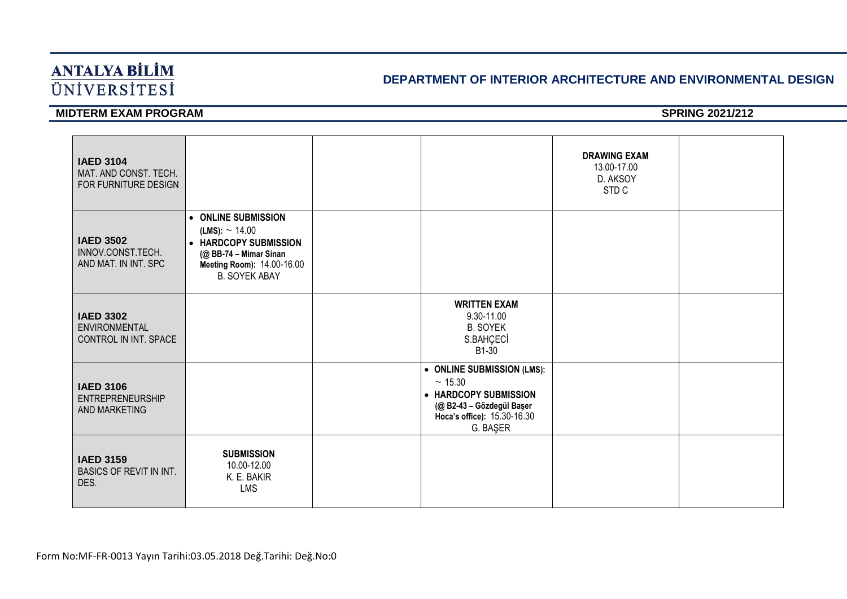### **DEPARTMENT OF INTERIOR ARCHITECTURE AND ENVIRONMENTAL DESIGN**

| <b>IAED 3104</b><br>MAT. AND CONST. TECH.<br>FOR FURNITURE DESIGN |                                                                                                                                                |                                                                                                                                       | <b>DRAWING EXAM</b><br>13.00-17.00<br>D. AKSOY<br>STD <sub>C</sub> |  |
|-------------------------------------------------------------------|------------------------------------------------------------------------------------------------------------------------------------------------|---------------------------------------------------------------------------------------------------------------------------------------|--------------------------------------------------------------------|--|
| <b>IAED 3502</b><br>INNOV.CONST.TECH.<br>AND MAT. IN INT. SPC     | • ONLINE SUBMISSION<br>(LMS): ~ 14.00<br>• HARDCOPY SUBMISSION<br>(@ BB-74 - Mimar Sinan<br>Meeting Room): 14.00-16.00<br><b>B. SOYEK ABAY</b> |                                                                                                                                       |                                                                    |  |
| <b>IAED 3302</b><br><b>ENVIRONMENTAL</b><br>CONTROL IN INT. SPACE |                                                                                                                                                | <b>WRITTEN EXAM</b><br>9.30-11.00<br><b>B. SOYEK</b><br>S.BAHÇECİ<br>B1-30                                                            |                                                                    |  |
| <b>IAED 3106</b><br><b>ENTREPRENEURSHIP</b><br>AND MARKETING      |                                                                                                                                                | • ONLINE SUBMISSION (LMS):<br>~15.30<br>• HARDCOPY SUBMISSION<br>(@ B2-43 - Gözdegül Başer<br>Hoca's office): 15.30-16.30<br>G. BAŞER |                                                                    |  |
| <b>IAED 3159</b><br><b>BASICS OF REVIT IN INT.</b><br>DES.        | <b>SUBMISSION</b><br>10.00-12.00<br>K. E. BAKIR<br><b>LMS</b>                                                                                  |                                                                                                                                       |                                                                    |  |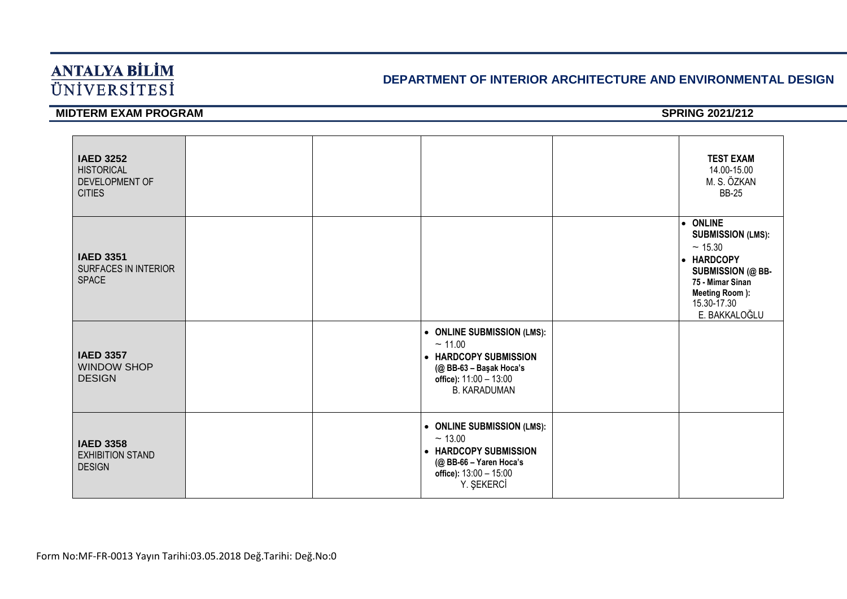## **DEPARTMENT OF INTERIOR ARCHITECTURE AND ENVIRONMENTAL DESIGN**

| <b>IAED 3252</b><br><b>HISTORICAL</b><br>DEVELOPMENT OF<br><b>CITIES</b> |  |                                                                                                                                           | <b>TEST EXAM</b><br>14.00-15.00<br>M. S. ÖZKAN<br><b>BB-25</b>                                                                                                 |
|--------------------------------------------------------------------------|--|-------------------------------------------------------------------------------------------------------------------------------------------|----------------------------------------------------------------------------------------------------------------------------------------------------------------|
| <b>IAED 3351</b><br><b>SURFACES IN INTERIOR</b><br><b>SPACE</b>          |  |                                                                                                                                           | • ONLINE<br><b>SUBMISSION (LMS):</b><br>~15.30<br>• HARDCOPY<br><b>SUBMISSION (@ BB-</b><br>75 - Mimar Sinan<br>Meeting Room):<br>15.30-17.30<br>E. BAKKALOĞLU |
| <b>IAED 3357</b><br><b>WINDOW SHOP</b><br><b>DESIGN</b>                  |  | • ONLINE SUBMISSION (LMS):<br>~11.00<br>• HARDCOPY SUBMISSION<br>(@ BB-63 - Başak Hoca's<br>office): 11:00 - 13:00<br><b>B. KARADUMAN</b> |                                                                                                                                                                |
| <b>IAED 3358</b><br><b>EXHIBITION STAND</b><br><b>DESIGN</b>             |  | • ONLINE SUBMISSION (LMS):<br>~13.00<br>• HARDCOPY SUBMISSION<br>(@ BB-66 - Yaren Hoca's<br>office): $13:00 - 15:00$<br>Y. ŞEKERCİ        |                                                                                                                                                                |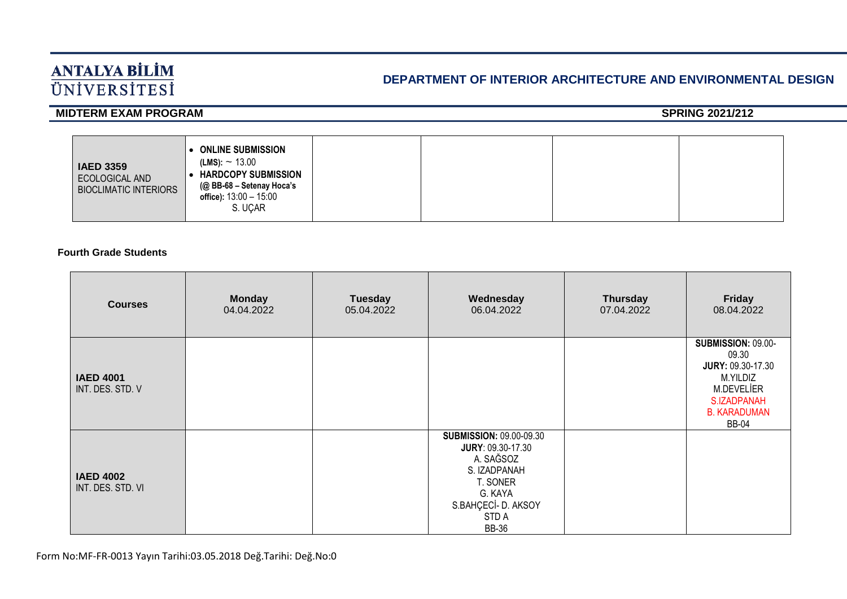## **DEPARTMENT OF INTERIOR ARCHITECTURE AND ENVIRONMENTAL DESIGN**

## **MIDTERM EXAM PROGRAM SPRING 2021/212**

| <b>IAED 3359</b><br>ECOLOGICAL AND<br><b>BIOCLIMATIC INTERIORS</b> | <b>ONLINE SUBMISSION</b><br>(LMS): ~ 13.00<br><b>HARDCOPY SUBMISSION</b><br>(@ BB-68 – Setenay Hoca's<br>office): $13:00 - 15:00$<br>S. UÇAR |  |  |  |  |  |
|--------------------------------------------------------------------|----------------------------------------------------------------------------------------------------------------------------------------------|--|--|--|--|--|
|--------------------------------------------------------------------|----------------------------------------------------------------------------------------------------------------------------------------------|--|--|--|--|--|

#### **Fourth Grade Students**

| <b>Courses</b>                        | <b>Monday</b><br>04.04.2022 | <b>Tuesday</b><br>05.04.2022 | Wednesday<br>06.04.2022                                                                                                                                 | <b>Thursday</b><br>07.04.2022 | Friday<br>08.04.2022                                                                                                                           |
|---------------------------------------|-----------------------------|------------------------------|---------------------------------------------------------------------------------------------------------------------------------------------------------|-------------------------------|------------------------------------------------------------------------------------------------------------------------------------------------|
| <b>IAED 4001</b><br>INT. DES. STD. V  |                             |                              |                                                                                                                                                         |                               | <b>SUBMISSION: 09.00-</b><br>09.30<br><b>JURY: 09.30-17.30</b><br>M.YILDIZ<br>M.DEVELIER<br>S.IZADPANAH<br><b>B. KARADUMAN</b><br><b>BB-04</b> |
| <b>IAED 4002</b><br>INT. DES. STD. VI |                             |                              | <b>SUBMISSION: 09.00-09.30</b><br>JURY: 09.30-17.30<br>A. SAĞSOZ<br>S. IZADPANAH<br>T. SONER<br>G. KAYA<br>S.BAHÇECİ- D. AKSOY<br>STD A<br><b>BB-36</b> |                               |                                                                                                                                                |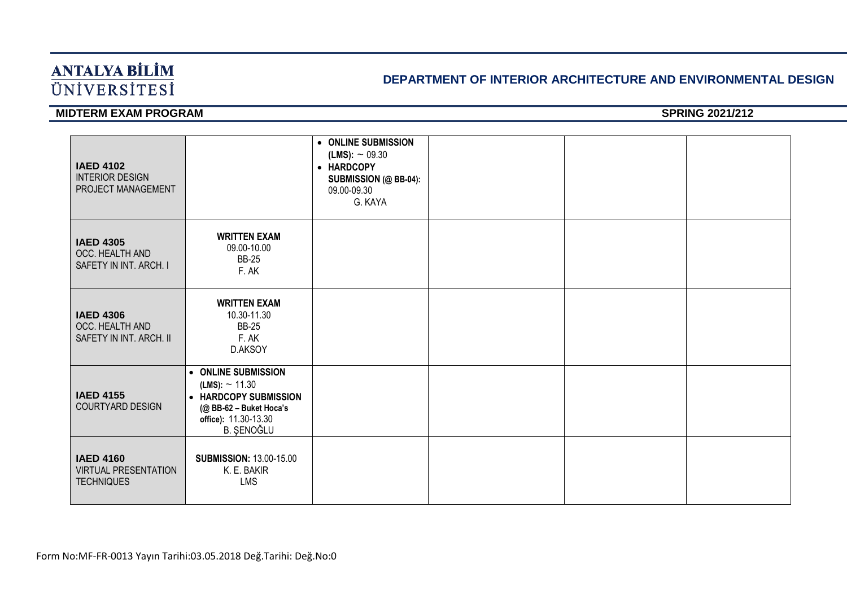#### **DEPARTMENT OF INTERIOR ARCHITECTURE AND ENVIRONMENTAL DESIGN**

| <b>IAED 4102</b><br><b>INTERIOR DESIGN</b><br>PROJECT MANAGEMENT     |                                                                                                                                        | • ONLINE SUBMISSION<br>(LMS): ~ 09.30<br>• HARDCOPY<br><b>SUBMISSION (@ BB-04):</b><br>09.00-09.30<br>G. KAYA |  |  |
|----------------------------------------------------------------------|----------------------------------------------------------------------------------------------------------------------------------------|---------------------------------------------------------------------------------------------------------------|--|--|
| <b>IAED 4305</b><br>OCC. HEALTH AND<br>SAFETY IN INT. ARCH. I        | <b>WRITTEN EXAM</b><br>09.00-10.00<br><b>BB-25</b><br>F. AK                                                                            |                                                                                                               |  |  |
| <b>IAED 4306</b><br>OCC. HEALTH AND<br>SAFETY IN INT. ARCH. II       | <b>WRITTEN EXAM</b><br>10.30-11.30<br><b>BB-25</b><br>F. AK<br>D.AKSOY                                                                 |                                                                                                               |  |  |
| <b>IAED 4155</b><br><b>COURTYARD DESIGN</b>                          | • ONLINE SUBMISSION<br>(LMS): ~ 11.30<br>• HARDCOPY SUBMISSION<br>(@ BB-62 - Buket Hoca's<br>office): 11.30-13.30<br><b>B. ŞENOĞLU</b> |                                                                                                               |  |  |
| <b>IAED 4160</b><br><b>VIRTUAL PRESENTATION</b><br><b>TECHNIQUES</b> | <b>SUBMISSION: 13.00-15.00</b><br>K. E. BAKIR<br><b>LMS</b>                                                                            |                                                                                                               |  |  |